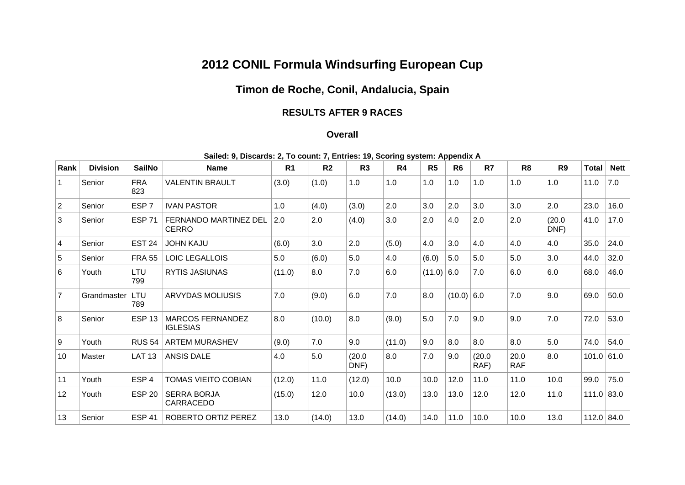## **2012 CONIL Formula Windsurfing European Cup**

## **Timon de Roche, Conil, Andalucia, Spain**

## **RESULTS AFTER 9 RACES**

## **Overall**

| Rank           | <b>Division</b> | <b>SailNo</b>     | <b>Name</b>                                  | R <sub>1</sub> | R <sub>2</sub> | R <sub>3</sub> | R4     | R <sub>5</sub> | R <sub>6</sub> | R7             | R <sub>8</sub>     | R <sub>9</sub> | <b>Total</b> | <b>Nett</b> |
|----------------|-----------------|-------------------|----------------------------------------------|----------------|----------------|----------------|--------|----------------|----------------|----------------|--------------------|----------------|--------------|-------------|
|                | Senior          | <b>FRA</b><br>823 | <b>VALENTIN BRAULT</b>                       | (3.0)          | (1.0)          | 1.0            | 1.0    | 1.0            | 1.0            | 1.0            | 1.0                | 1.0            | 11.0         | 7.0         |
| $\overline{2}$ | Senior          | ESP <sub>7</sub>  | <b>IVAN PASTOR</b>                           | 1.0            | (4.0)          | (3.0)          | 2.0    | 3.0            | 2.0            | 3.0            | 3.0                | 2.0            | 23.0         | 16.0        |
| 3              | Senior          | <b>ESP 71</b>     | <b>FERNANDO MARTINEZ DEL</b><br><b>CERRO</b> | 2.0            | 2.0            | (4.0)          | 3.0    | 2.0            | 4.0            | 2.0            | 2.0                | (20.0)<br>DNF) | 41.0         | 17.0        |
| 4              | Senior          | <b>EST 24</b>     | <b>JOHN KAJU</b>                             | (6.0)          | 3.0            | 2.0            | (5.0)  | 4.0            | 3.0            | 4.0            | 4.0                | 4.0            | 35.0         | 24.0        |
| 5              | Senior          | <b>FRA 55</b>     | LOIC LEGALLOIS                               | 5.0            | (6.0)          | 5.0            | 4.0    | (6.0)          | 5.0            | 5.0            | 5.0                | 3.0            | 44.0         | 32.0        |
| 6              | Youth           | LTU<br>799        | RYTIS JASIUNAS                               | (11.0)         | 8.0            | 7.0            | 6.0    | $(11.0)$ 6.0   |                | 7.0            | 6.0                | 6.0            | 68.0         | 46.0        |
| $\overline{7}$ | Grandmaster     | LTU<br>789        | <b>ARVYDAS MOLIUSIS</b>                      | 7.0            | (9.0)          | 6.0            | 7.0    | 8.0            | $(10.0)$ 6.0   |                | 7.0                | 9.0            | 69.0         | 50.0        |
| 8              | Senior          | <b>ESP 13</b>     | <b>MARCOS FERNANDEZ</b><br><b>IGLESIAS</b>   | 8.0            | (10.0)         | 8.0            | (9.0)  | 5.0            | 7.0            | 9.0            | 9.0                | 7.0            | 72.0         | 53.0        |
| 9              | Youth           | <b>RUS 54</b>     | <b>ARTEM MURASHEV</b>                        | (9.0)          | 7.0            | 9.0            | (11.0) | 9.0            | 8.0            | 8.0            | 8.0                | 5.0            | 74.0         | 54.0        |
| 10             | Master          | <b>LAT 13</b>     | <b>ANSIS DALE</b>                            | 4.0            | 5.0            | (20.0)<br>DNF) | 8.0    | 7.0            | 9.0            | (20.0)<br>RAF) | 20.0<br><b>RAF</b> | 8.0            | 101.0        | 61.0        |
| 11             | Youth           | ESP <sub>4</sub>  | TOMAS VIEITO COBIAN                          | (12.0)         | 11.0           | (12.0)         | 10.0   | 10.0           | 12.0           | 11.0           | 11.0               | 10.0           | 99.0         | 75.0        |
| 12             | Youth           | <b>ESP 20</b>     | <b>SERRA BORJA</b><br>CARRACEDO              | (15.0)         | 12.0           | 10.0           | (13.0) | 13.0           | 13.0           | 12.0           | 12.0               | 11.0           | 111.0        | 83.0        |
| 13             | Senior          | <b>ESP 41</b>     | ROBERTO ORTIZ PEREZ                          | 13.0           | (14.0)         | 13.0           | (14.0) | 14.0           | 11.0           | 10.0           | 10.0               | 13.0           | 112.0   84.0 |             |